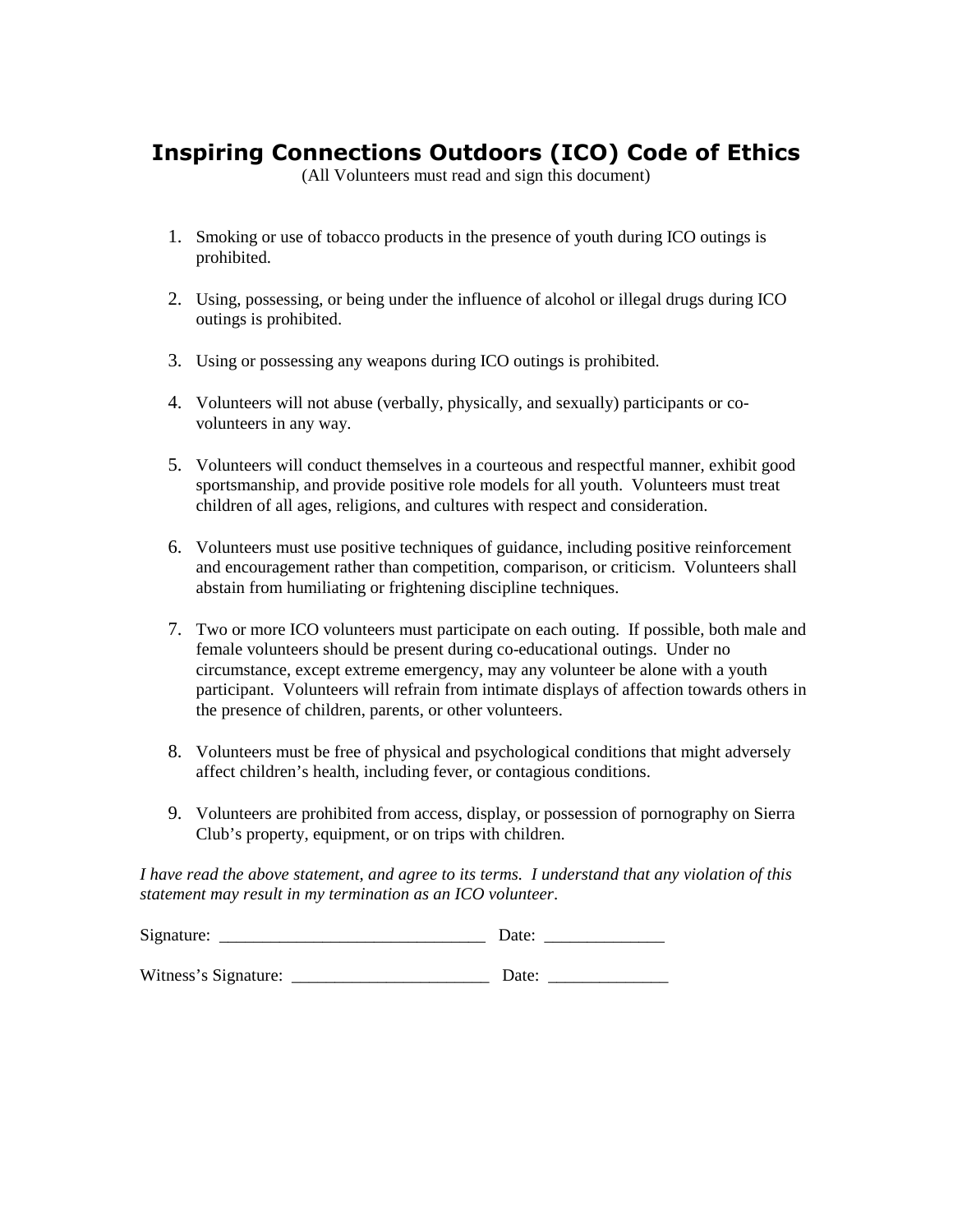## **Inspiring Connections Outdoors (ICO) Code of Ethics**

(All Volunteers must read and sign this document)

- 1. Smoking or use of tobacco products in the presence of youth during ICO outings is prohibited.
- 2. Using, possessing, or being under the influence of alcohol or illegal drugs during ICO outings is prohibited.
- 3. Using or possessing any weapons during ICO outings is prohibited.
- 4. Volunteers will not abuse (verbally, physically, and sexually) participants or covolunteers in any way.
- 5. Volunteers will conduct themselves in a courteous and respectful manner, exhibit good sportsmanship, and provide positive role models for all youth. Volunteers must treat children of all ages, religions, and cultures with respect and consideration.
- 6. Volunteers must use positive techniques of guidance, including positive reinforcement and encouragement rather than competition, comparison, or criticism. Volunteers shall abstain from humiliating or frightening discipline techniques.
- 7. Two or more ICO volunteers must participate on each outing. If possible, both male and female volunteers should be present during co-educational outings. Under no circumstance, except extreme emergency, may any volunteer be alone with a youth participant. Volunteers will refrain from intimate displays of affection towards others in the presence of children, parents, or other volunteers.
- 8. Volunteers must be free of physical and psychological conditions that might adversely affect children's health, including fever, or contagious conditions.
- 9. Volunteers are prohibited from access, display, or possession of pornography on Sierra Club's property, equipment, or on trips with children.

*I have read the above statement, and agree to its terms. I understand that any violation of this statement may result in my termination as an ICO volunteer*.

| Signature:           | Date: |
|----------------------|-------|
| Witness's Signature: | Date: |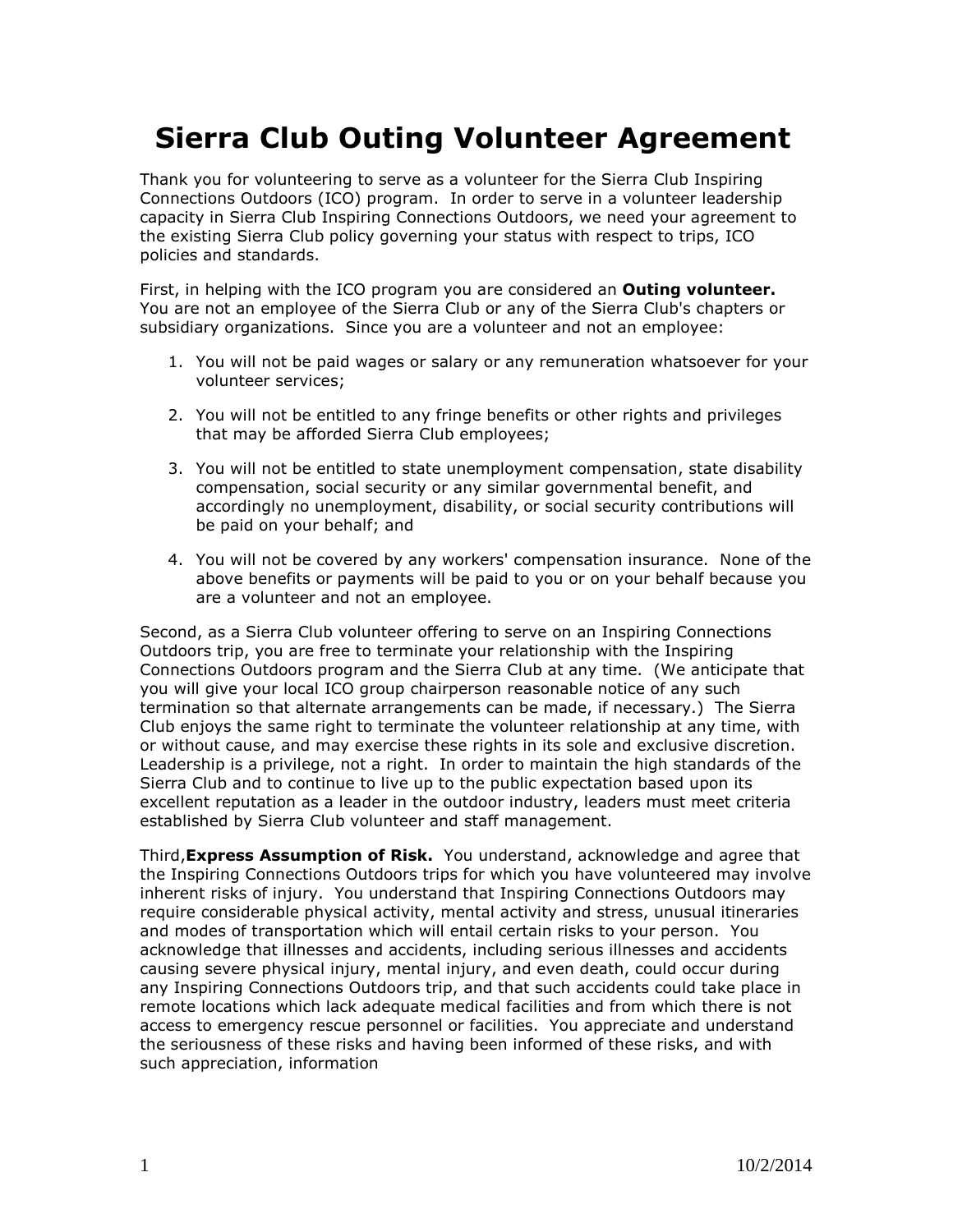## **Sierra Club Outing Volunteer Agreement**

Thank you for volunteering to serve as a volunteer for the Sierra Club Inspiring Connections Outdoors (ICO) program. In order to serve in a volunteer leadership capacity in Sierra Club Inspiring Connections Outdoors, we need your agreement to the existing Sierra Club policy governing your status with respect to trips, ICO policies and standards.

First, in helping with the ICO program you are considered an **Outing volunteer.** You are not an employee of the Sierra Club or any of the Sierra Club's chapters or subsidiary organizations. Since you are a volunteer and not an employee:

- 1. You will not be paid wages or salary or any remuneration whatsoever for your volunteer services;
- 2. You will not be entitled to any fringe benefits or other rights and privileges that may be afforded Sierra Club employees;
- 3. You will not be entitled to state unemployment compensation, state disability compensation, social security or any similar governmental benefit, and accordingly no unemployment, disability, or social security contributions will be paid on your behalf; and
- 4. You will not be covered by any workers' compensation insurance. None of the above benefits or payments will be paid to you or on your behalf because you are a volunteer and not an employee.

Second, as a Sierra Club volunteer offering to serve on an Inspiring Connections Outdoors trip, you are free to terminate your relationship with the Inspiring Connections Outdoors program and the Sierra Club at any time. (We anticipate that you will give your local ICO group chairperson reasonable notice of any such termination so that alternate arrangements can be made, if necessary.) The Sierra Club enjoys the same right to terminate the volunteer relationship at any time, with or without cause, and may exercise these rights in its sole and exclusive discretion. Leadership is a privilege, not a right. In order to maintain the high standards of the Sierra Club and to continue to live up to the public expectation based upon its excellent reputation as a leader in the outdoor industry, leaders must meet criteria established by Sierra Club volunteer and staff management.

Third,**Express Assumption of Risk.** You understand, acknowledge and agree that the Inspiring Connections Outdoors trips for which you have volunteered may involve inherent risks of injury. You understand that Inspiring Connections Outdoors may require considerable physical activity, mental activity and stress, unusual itineraries and modes of transportation which will entail certain risks to your person. You acknowledge that illnesses and accidents, including serious illnesses and accidents causing severe physical injury, mental injury, and even death, could occur during any Inspiring Connections Outdoors trip, and that such accidents could take place in remote locations which lack adequate medical facilities and from which there is not access to emergency rescue personnel or facilities. You appreciate and understand the seriousness of these risks and having been informed of these risks, and with such appreciation, information